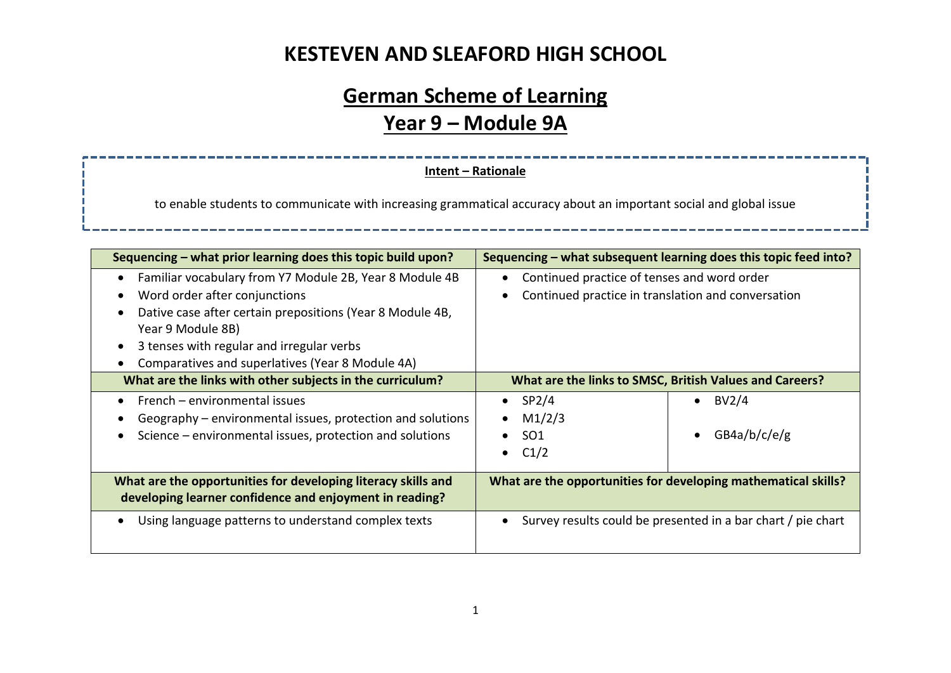# **German Scheme of Learning Year 9 – Module 9A**

#### **Intent – Rationale**

to enable students to communicate with increasing grammatical accuracy about an important social and global issue

| Sequencing – what prior learning does this topic build upon?                                                                                                                                                                                                                | Sequencing – what subsequent learning does this topic feed into?                                  |  |
|-----------------------------------------------------------------------------------------------------------------------------------------------------------------------------------------------------------------------------------------------------------------------------|---------------------------------------------------------------------------------------------------|--|
| Familiar vocabulary from Y7 Module 2B, Year 8 Module 4B<br>Word order after conjunctions<br>Dative case after certain prepositions (Year 8 Module 4B,<br>Year 9 Module 8B)<br>3 tenses with regular and irregular verbs<br>Comparatives and superlatives (Year 8 Module 4A) | Continued practice of tenses and word order<br>Continued practice in translation and conversation |  |
| What are the links with other subjects in the curriculum?                                                                                                                                                                                                                   | What are the links to SMSC, British Values and Careers?                                           |  |
| French – environmental issues<br>Geography – environmental issues, protection and solutions<br>Science – environmental issues, protection and solutions                                                                                                                     | SP <sub>2</sub> /4<br>BV2/4<br>M1/2/3<br>GB4a/b/c/e/g<br><b>SO1</b><br>$\bullet$<br>C1/2          |  |
| What are the opportunities for developing literacy skills and<br>developing learner confidence and enjoyment in reading?                                                                                                                                                    | What are the opportunities for developing mathematical skills?                                    |  |
| Using language patterns to understand complex texts                                                                                                                                                                                                                         | Survey results could be presented in a bar chart / pie chart                                      |  |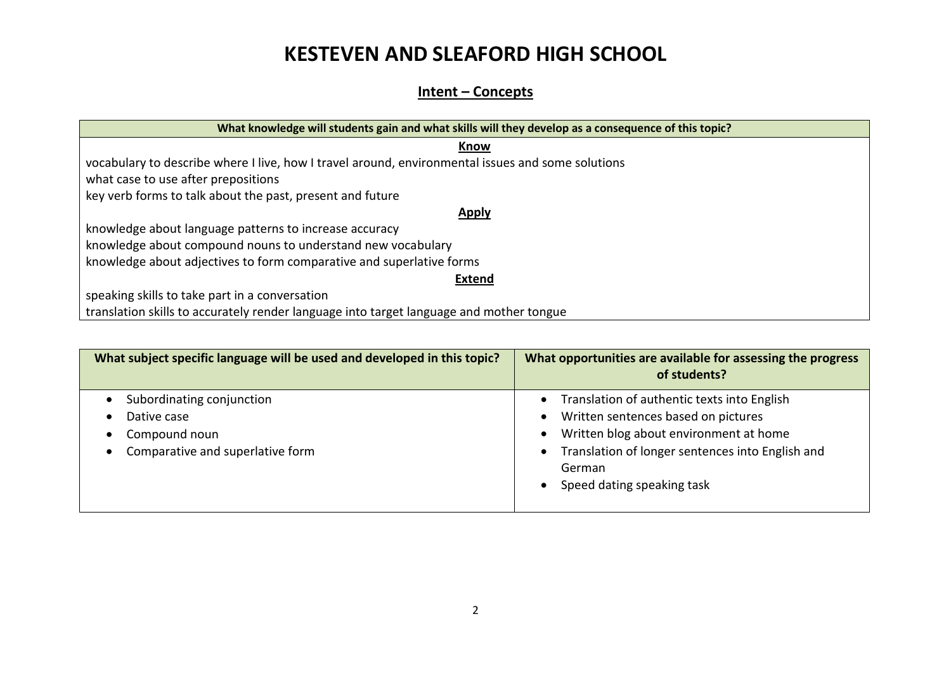### **Intent – Concepts**

| What knowledge will students gain and what skills will they develop as a consequence of this topic? |  |  |  |  |
|-----------------------------------------------------------------------------------------------------|--|--|--|--|
| Know                                                                                                |  |  |  |  |
| vocabulary to describe where I live, how I travel around, environmental issues and some solutions   |  |  |  |  |
| what case to use after prepositions                                                                 |  |  |  |  |
| key verb forms to talk about the past, present and future                                           |  |  |  |  |
| <b>Apply</b>                                                                                        |  |  |  |  |
| knowledge about language patterns to increase accuracy                                              |  |  |  |  |
| knowledge about compound nouns to understand new vocabulary                                         |  |  |  |  |
| knowledge about adjectives to form comparative and superlative forms                                |  |  |  |  |
| <b>Extend</b>                                                                                       |  |  |  |  |
| speaking skills to take part in a conversation                                                      |  |  |  |  |
| translation skills to accurately render language into target language and mother tongue             |  |  |  |  |

| What subject specific language will be used and developed in this topic?                                   | What opportunities are available for assessing the progress<br>of students?                                                                                                                                              |
|------------------------------------------------------------------------------------------------------------|--------------------------------------------------------------------------------------------------------------------------------------------------------------------------------------------------------------------------|
| Subordinating conjunction<br>Dative case<br>Compound noun<br>$\bullet$<br>Comparative and superlative form | Translation of authentic texts into English<br>Written sentences based on pictures<br>Written blog about environment at home<br>Translation of longer sentences into English and<br>German<br>Speed dating speaking task |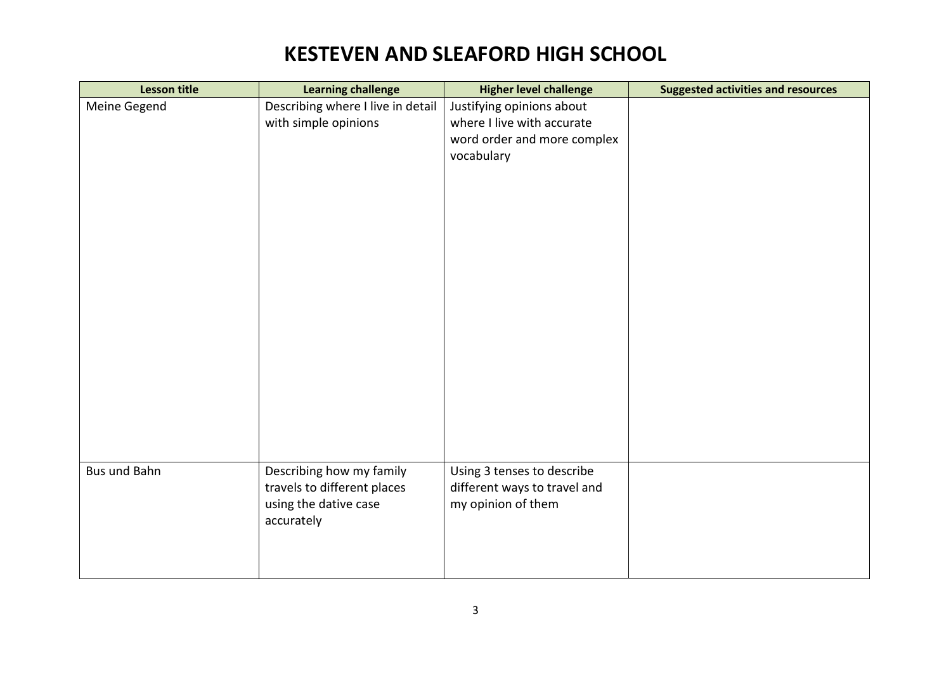| <b>Lesson title</b> | <b>Learning challenge</b>                               | <b>Higher level challenge</b>                              | <b>Suggested activities and resources</b> |
|---------------------|---------------------------------------------------------|------------------------------------------------------------|-------------------------------------------|
| Meine Gegend        | Describing where I live in detail                       | Justifying opinions about                                  |                                           |
|                     | with simple opinions                                    | where I live with accurate                                 |                                           |
|                     |                                                         | word order and more complex                                |                                           |
|                     |                                                         | vocabulary                                                 |                                           |
|                     |                                                         |                                                            |                                           |
|                     |                                                         |                                                            |                                           |
|                     |                                                         |                                                            |                                           |
|                     |                                                         |                                                            |                                           |
|                     |                                                         |                                                            |                                           |
|                     |                                                         |                                                            |                                           |
|                     |                                                         |                                                            |                                           |
|                     |                                                         |                                                            |                                           |
|                     |                                                         |                                                            |                                           |
|                     |                                                         |                                                            |                                           |
|                     |                                                         |                                                            |                                           |
|                     |                                                         |                                                            |                                           |
|                     |                                                         |                                                            |                                           |
|                     |                                                         |                                                            |                                           |
|                     |                                                         |                                                            |                                           |
|                     |                                                         |                                                            |                                           |
|                     |                                                         |                                                            |                                           |
| Bus und Bahn        |                                                         |                                                            |                                           |
|                     | Describing how my family<br>travels to different places | Using 3 tenses to describe<br>different ways to travel and |                                           |
|                     | using the dative case                                   | my opinion of them                                         |                                           |
|                     |                                                         |                                                            |                                           |
|                     | accurately                                              |                                                            |                                           |
|                     |                                                         |                                                            |                                           |
|                     |                                                         |                                                            |                                           |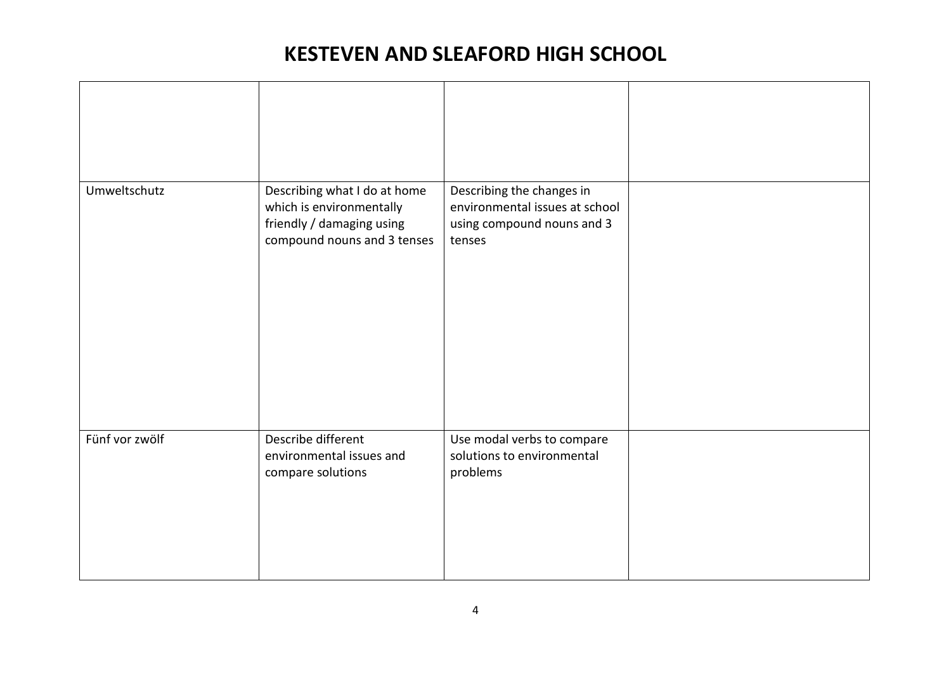| Umweltschutz   | Describing what I do at home<br>which is environmentally<br>friendly / damaging using<br>compound nouns and 3 tenses | Describing the changes in<br>environmental issues at school<br>using compound nouns and 3<br>tenses |  |
|----------------|----------------------------------------------------------------------------------------------------------------------|-----------------------------------------------------------------------------------------------------|--|
| Fünf vor zwölf | Describe different<br>environmental issues and<br>compare solutions                                                  | Use modal verbs to compare<br>solutions to environmental<br>problems                                |  |